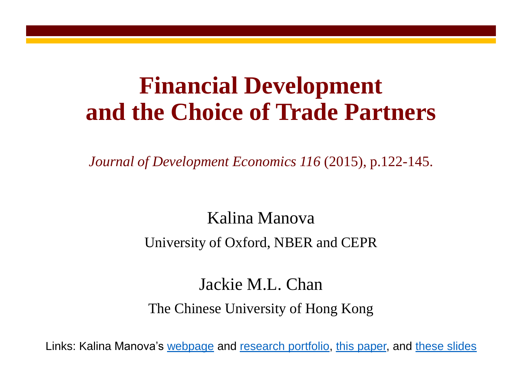### **Financial Development and the Choice of Trade Partners**

*Journal of Development Economics 116* (2015), p.122-145.

### Kalina Manova

### University of Oxford, NBER and CEPR

### Jackie M.L. Chan The Chinese University of Hong Kong

Links: Kalina Manova's [webpage](http://users.ox.ac.uk/~econ0451/index.html) and [research portfolio,](http://users.ox.ac.uk/~econ0451/pubs.html) [this paper,](http://users.ox.ac.uk/~econ0451/peckingorder.pdf) and [these slides](http://users.ox.ac.uk/~econ0451/peckingorderslides.pdf)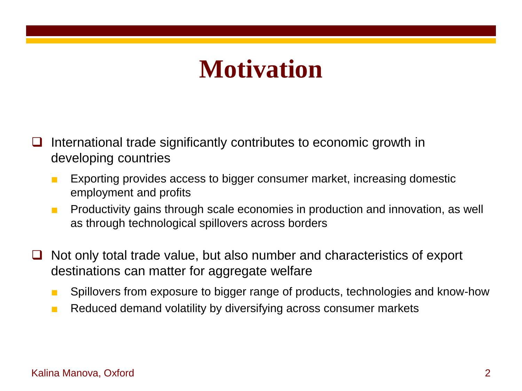# **Motivation**

- International trade significantly contributes to economic growth in developing countries
	- Exporting provides access to bigger consumer market, increasing domestic employment and profits
	- Productivity gains through scale economies in production and innovation, as well as through technological spillovers across borders
- Not only total trade value, but also number and characteristics of export destinations can matter for aggregate welfare
	- Spillovers from exposure to bigger range of products, technologies and know-how
	- Reduced demand volatility by diversifying across consumer markets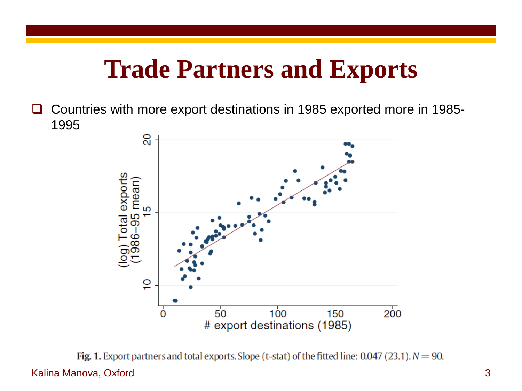## **Trade Partners and Exports**

□ Countries with more export destinations in 1985 exported more in 1985-1995



Fig. 1. Export partners and total exports. Slope (t-stat) of the fitted line: 0.047 (23.1).  $N = 90$ . Kalina Manova, Oxford 3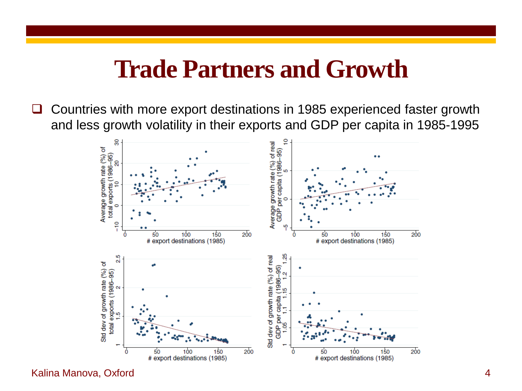### **Trade Partners and Growth**

■ Countries with more export destinations in 1985 experienced faster growth and less growth volatility in their exports and GDP per capita in 1985-1995

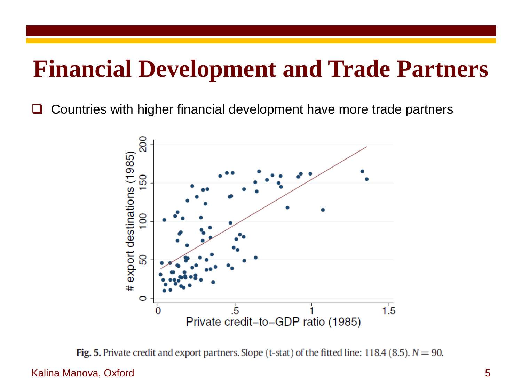### **Financial Development and Trade Partners**

Countries with higher financial development have more trade partners



**Fig. 5.** Private credit and export partners. Slope (t-stat) of the fitted line: 118.4 (8.5).  $N = 90$ .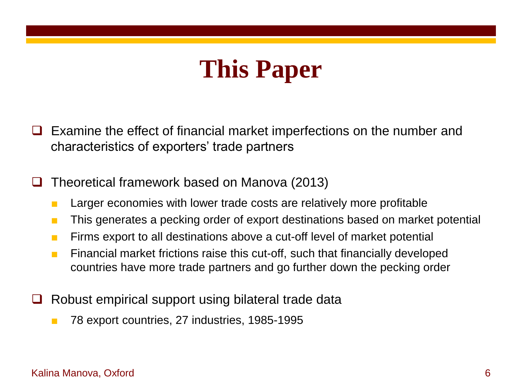# **This Paper**

- Examine the effect of financial market imperfections on the number and characteristics of exporters' trade partners
- Theoretical framework based on Manova (2013)
	- Larger economies with lower trade costs are relatively more profitable
	- This generates a pecking order of export destinations based on market potential
	- Firms export to all destinations above a cut-off level of market potential
	- Financial market frictions raise this cut-off, such that financially developed countries have more trade partners and go further down the pecking order
- Robust empirical support using bilateral trade data
	- 78 export countries, 27 industries, 1985-1995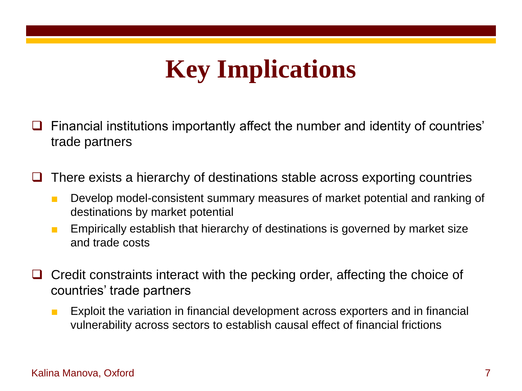# **Key Implications**

- Financial institutions importantly affect the number and identity of countries' trade partners
- There exists a hierarchy of destinations stable across exporting countries
	- Develop model-consistent summary measures of market potential and ranking of destinations by market potential
	- Empirically establish that hierarchy of destinations is governed by market size and trade costs
- Credit constraints interact with the pecking order, affecting the choice of countries' trade partners
	- Exploit the variation in financial development across exporters and in financial vulnerability across sectors to establish causal effect of financial frictions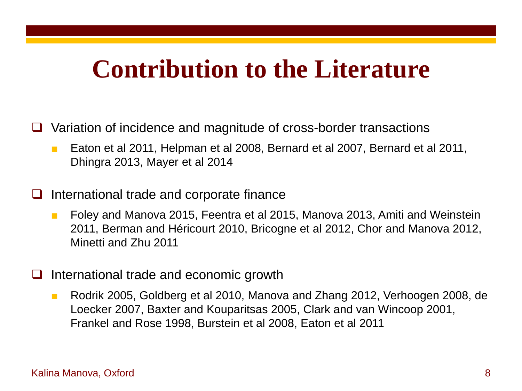## **Contribution to the Literature**

- Variation of incidence and magnitude of cross-border transactions
	- Eaton et al 2011, Helpman et al 2008, Bernard et al 2007, Bernard et al 2011, Dhingra 2013, Mayer et al 2014
- International trade and corporate finance
	- Foley and Manova 2015, Feentra et al 2015, Manova 2013, Amiti and Weinstein 2011, Berman and Héricourt 2010, Bricogne et al 2012, Chor and Manova 2012, Minetti and Zhu 2011
- International trade and economic growth
	- Rodrik 2005, Goldberg et al 2010, Manova and Zhang 2012, Verhoogen 2008, de Loecker 2007, Baxter and Kouparitsas 2005, Clark and van Wincoop 2001, Frankel and Rose 1998, Burstein et al 2008, Eaton et al 2011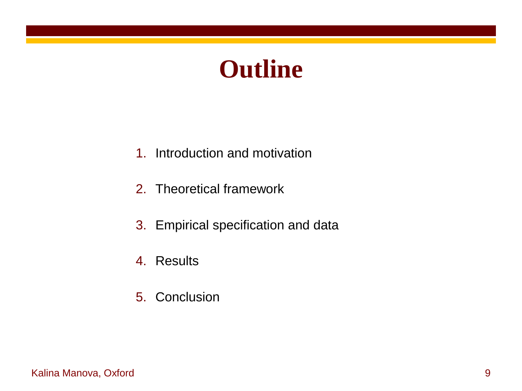# **Outline**

- 1. Introduction and motivation
- 2. Theoretical framework
- 3. Empirical specification and data
- 4. Results
- 5. Conclusion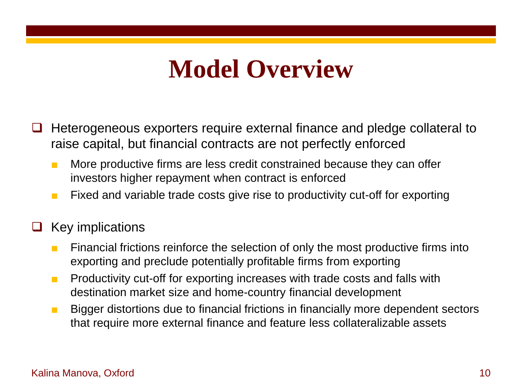# **Model Overview**

- Heterogeneous exporters require external finance and pledge collateral to raise capital, but financial contracts are not perfectly enforced
	- More productive firms are less credit constrained because they can offer investors higher repayment when contract is enforced
	- Fixed and variable trade costs give rise to productivity cut-off for exporting

### Key implications

- Financial frictions reinforce the selection of only the most productive firms into exporting and preclude potentially profitable firms from exporting
- Productivity cut-off for exporting increases with trade costs and falls with destination market size and home-country financial development
- Bigger distortions due to financial frictions in financially more dependent sectors that require more external finance and feature less collateralizable assets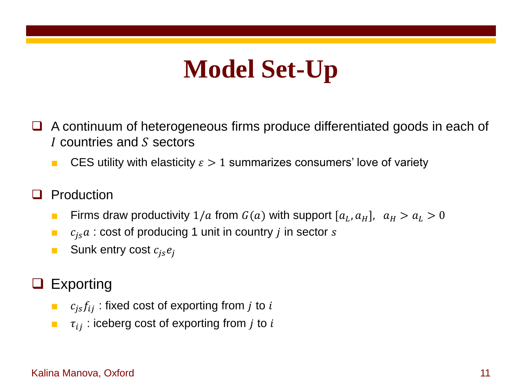# **Model Set-Up**

- A continuum of heterogeneous firms produce differentiated goods in each of I countries and S sectors
	- CES utility with elasticity  $\epsilon > 1$  summarizes consumers' love of variety
- Production
	- **Firms draw productivity**  $1/a$  from  $G(a)$  with support  $[a_L, a_H]$ ,  $a_H > a_L > 0$
	- $\blacksquare$   $c_{is}a$ : cost of producing 1 unit in country *j* in sector *s*
	- **B** Sunk entry cost  $c_{is}e_i$
- Exporting
	- $\bullet$   $c_{is}f_{ij}$ : fixed cost of exporting from j to i
	- $\bullet$   $\tau_{ii}$ : iceberg cost of exporting from *j* to *i*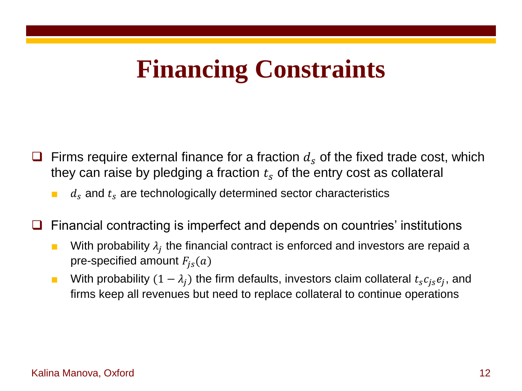# **Financing Constraints**

- Firms require external finance for a fraction  $d_s$  of the fixed trade cost, which they can raise by pledging a fraction  $t_s$  of the entry cost as collateral
	- $d_s$  and  $t_s$  are technologically determined sector characteristics
- Financial contracting is imperfect and depends on countries' institutions
	- **■** With probability  $\lambda_j$  the financial contract is enforced and investors are repaid a pre-specified amount  $F_{is}(a)$
	- With probability  $(1 \lambda_j)$  the firm defaults, investors claim collateral  $t_s c_{js} e_j$ , and firms keep all revenues but need to replace collateral to continue operations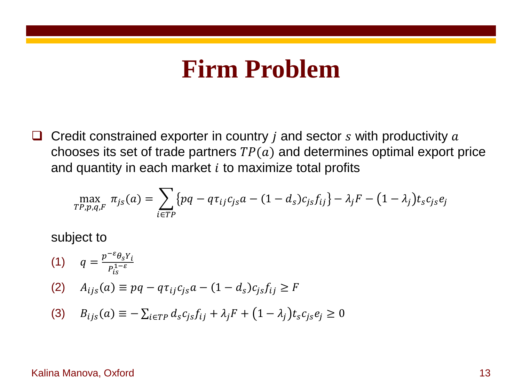### **Firm Problem**

 $\Box$  Credit constrained exporter in country *i* and sector *s* with productivity *a* chooses its set of trade partners  $TP(a)$  and determines optimal export price and quantity in each market  $i$  to maximize total profits

$$
\max_{TP,p,q,F} \pi_{js}(a) = \sum_{i \in TP} \{pq - q\tau_{ij}c_{js}a - (1 - d_s)c_{js}f_{ij}\} - \lambda_j F - (1 - \lambda_j)t_s c_{js}e_j
$$

subject to

(1)  $q = \frac{p^{-\varepsilon} \theta_s Y_i}{p^{1-\varepsilon}}$  $P_{is}^{1-\varepsilon}$ (2)  $A_{ijs}(a) \equiv pq - q\tau_{ij}c_{is}a - (1 - d_s)c_{is}f_{ij} \geq F$ (3)  $B_{ijs}(a) \equiv -\sum_{i \in TP} d_s c_{js} f_{ij} + \lambda_j F + (1 - \lambda_j) t_s c_{js} e_j \ge 0$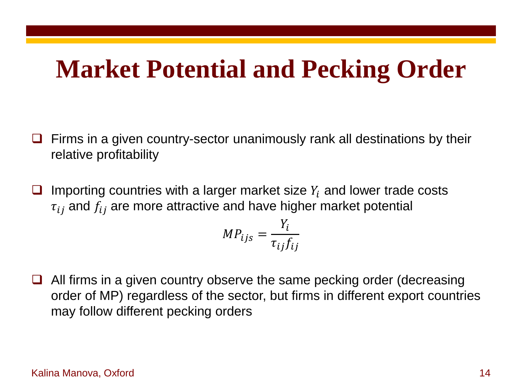## **Market Potential and Pecking Order**

- Firms in a given country-sector unanimously rank all destinations by their relative profitability
- Importing countries with a larger market size  $Y_i$  and lower trade costs  $\tau_{ij}$  and  $f_{ij}$  are more attractive and have higher market potential

$$
MP_{ijs} = \frac{Y_i}{\tau_{ij} f_{ij}}
$$

 $\Box$  All firms in a given country observe the same pecking order (decreasing order of MP) regardless of the sector, but firms in different export countries may follow different pecking orders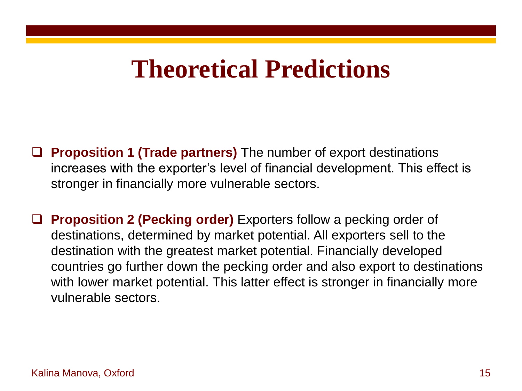# **Theoretical Predictions**

- **Proposition 1 (Trade partners)** The number of export destinations increases with the exporter's level of financial development. This effect is stronger in financially more vulnerable sectors.
- **Proposition 2 (Pecking order)** Exporters follow a pecking order of destinations, determined by market potential. All exporters sell to the destination with the greatest market potential. Financially developed countries go further down the pecking order and also export to destinations with lower market potential. This latter effect is stronger in financially more vulnerable sectors.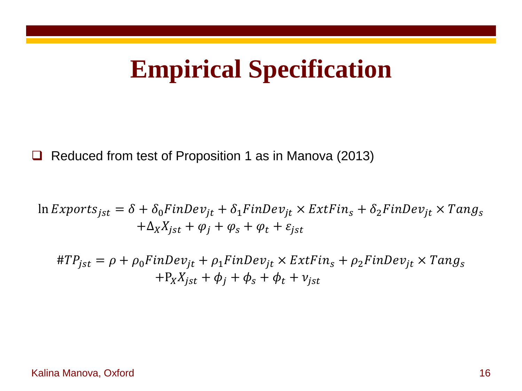# **Empirical Specification**

**□** Reduced from test of Proposition 1 as in Manova (2013)

$$
\ln Exports_{jst} = \delta + \delta_0 FinDev_{jt} + \delta_1 FinDev_{jt} \times ExtFin_s + \delta_2 FinDev_{jt} \times Tang_s
$$

$$
+ \Delta_X X_{jst} + \varphi_j + \varphi_s + \varphi_t + \varepsilon_{jst}
$$

 $#TP_{jst} = \rho + \rho_0 FinDev_{jt} + \rho_1 FinDev_{jt} \times ExtFin_s + \rho_2 FinDev_{jt} \times Tang_s$  $+P_X X_{ist} + \phi_i + \phi_s + \phi_t + v_{ist}$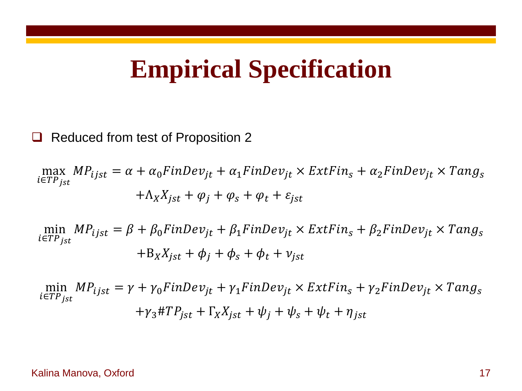### **Empirical Specification**

### Reduced from test of Proposition 2

max i∈TP<sub>jst</sub>  $MP_{ijst} = \alpha + \alpha_0 FinDev_{jt} + \alpha_1 FinDev_{jt} \times ExtFin_s + \alpha_2 FinDev_{jt} \times Tang_s$  $+\Lambda_X X_{ist} + \varphi_i + \varphi_s + \varphi_t + \varepsilon_{ist}$ 

min  $i\varepsilon T P_{jst}$  $MP_{ijst}=\beta + \beta_0 FinDev_{jt} + \beta_1 FinDev_{jt} \times ExtFin_s + \beta_2 FinDev_{jt} \times Tang_s$  $+ B_X X_{ist} + \phi_i + \phi_s + \phi_t + v_{ist}$ 

min i∈TP<sub>jst</sub>  $MP_{ijst} = \gamma + \gamma_0 FinDev_{jt} + \gamma_1 FinDev_{jt} \times ExtFin_s + \gamma_2 FinDev_{jt} \times Tang_s$  $+\gamma_3 \# T P_{ist} + \Gamma_X X_{ist} + \psi_i + \psi_s + \psi_t + \eta_{ist}$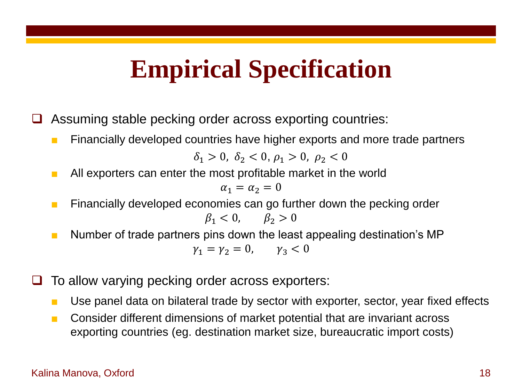# **Empirical Specification**

Assuming stable pecking order across exporting countries:

■ Financially developed countries have higher exports and more trade partners

 $\delta_1 > 0$ ,  $\delta_2 < 0$ ,  $\rho_1 > 0$ ,  $\rho_2 < 0$ 

■ All exporters can enter the most profitable market in the world

$$
\alpha_1=\alpha_2=0
$$

- Financially developed economies can go further down the pecking order  $\beta_1 < 0, \qquad \beta_2 > 0$
- Number of trade partners pins down the least appealing destination's MP  $\gamma_1 = \gamma_2 = 0, \quad \gamma_3 < 0$
- $\Box$  To allow varying pecking order across exporters:
	- Use panel data on bilateral trade by sector with exporter, sector, year fixed effects
	- Consider different dimensions of market potential that are invariant across exporting countries (eg. destination market size, bureaucratic import costs)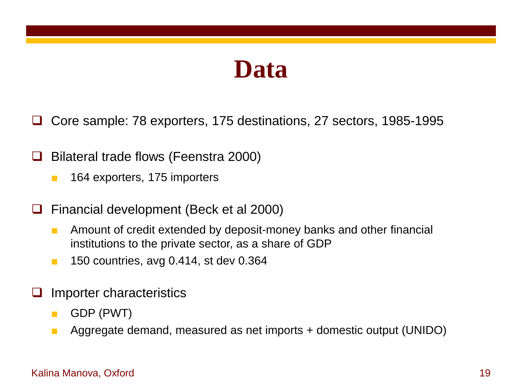### **Data**

Core sample: 78 exporters, 175 destinations, 27 sectors, 1985-1995

- $\Box$  Bilateral trade flows (Feenstra 2000)
	- 164 exporters, 175 importers
- Financial development (Beck et al 2000)
	- Amount of credit extended by deposit-money banks and other financial institutions to the private sector, as a share of GDP
	- 150 countries, avg 0.414, st dev 0.364
- Importer characteristics
	- GDP (PWT)
	- Aggregate demand, measured as net imports + domestic output (UNIDO)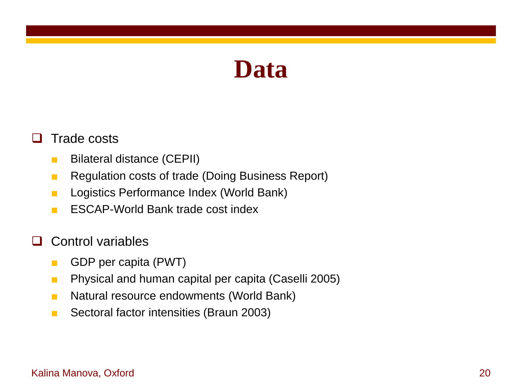### **Data**

### $\Box$  Trade costs

- Bilateral distance (CEPII)
- Regulation costs of trade (Doing Business Report)
- Logistics Performance Index (World Bank)
- ESCAP-World Bank trade cost index
- $\Box$  Control variables
	- GDP per capita (PWT)
	- Physical and human capital per capita (Caselli 2005)
	- Natural resource endowments (World Bank)
	- Sectoral factor intensities (Braun 2003)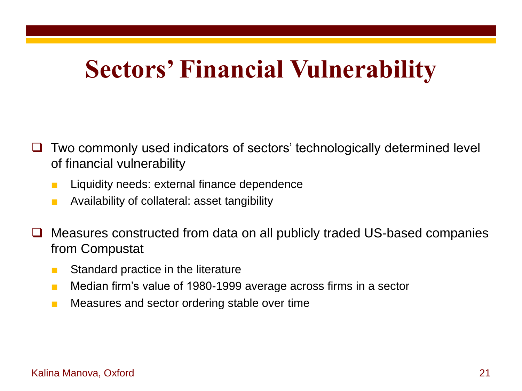# **Sectors' Financial Vulnerability**

- Two commonly used indicators of sectors' technologically determined level of financial vulnerability
	- Liquidity needs: external finance dependence
	- Availability of collateral: asset tangibility
- Measures constructed from data on all publicly traded US-based companies from Compustat
	- Standard practice in the literature
	- Median firm's value of 1980-1999 average across firms in a sector
	- Measures and sector ordering stable over time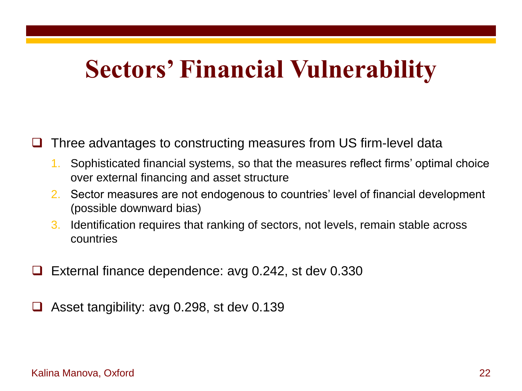# **Sectors' Financial Vulnerability**

Three advantages to constructing measures from US firm-level data

- 1. Sophisticated financial systems, so that the measures reflect firms' optimal choice over external financing and asset structure
- 2. Sector measures are not endogenous to countries' level of financial development (possible downward bias)
- 3. Identification requires that ranking of sectors, not levels, remain stable across countries
- External finance dependence: avg 0.242, st dev 0.330
- Asset tangibility: avg 0.298, st dev 0.139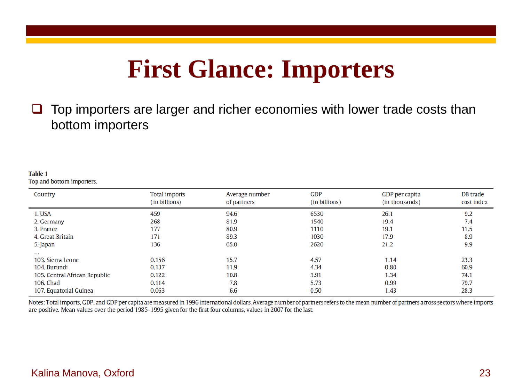## **First Glance: Importers**

 $\Box$  Top importers are larger and richer economies with lower trade costs than bottom importers

#### **Table 1**

Top and bottom importers.

| Country                       | <b>Total imports</b><br>(in billions) | Average number<br>of partners | <b>GDP</b><br>(in billions) | GDP per capita<br>(in thousands) | DB trade<br>cost index |
|-------------------------------|---------------------------------------|-------------------------------|-----------------------------|----------------------------------|------------------------|
| 1. USA                        | 459                                   | 94.6                          | 6530                        | 26.1                             | 9.2                    |
| 2. Germany                    | 268                                   | 81.9                          | 1540                        | 19.4                             | 7.4                    |
| 3. France                     | 177                                   | 80.9                          | 1110                        | 19.1                             | 11.5                   |
| 4. Great Britain              | 171                                   | 89.3                          | 1030                        | 17.9                             | 8.9                    |
| 5. Japan                      | 136                                   | 65.0                          | 2620                        | 21.2                             | 9.9                    |
| $\cdots$                      |                                       |                               |                             |                                  |                        |
| 103. Sierra Leone             | 0.156                                 | 15.7                          | 4.57                        | 1.14                             | 23.3                   |
| 104. Burundi                  | 0.137                                 | 11.9                          | 4.34                        | 0.80                             | 60.9                   |
| 105. Central African Republic | 0.122                                 | 10.8                          | 3.91                        | 1.34                             | 74.1                   |
| 106. Chad                     | 0.114                                 | 7.8                           | 5.73                        | 0.99                             | 79.7                   |
| 107. Equatorial Guinea        | 0.063                                 | 6.6                           | 0.50                        | 1.43                             | 28.3                   |

Notes: Total imports, GDP, and GDP per capita are measured in 1996 international dollars. Average number of partners refers to the mean number of partners across sectors where imports are positive. Mean values over the period 1985-1995 given for the first four columns, values in 2007 for the last.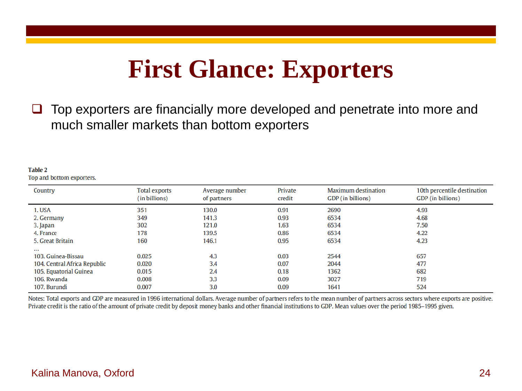## **First Glance: Exporters**

 $\Box$  Top exporters are financially more developed and penetrate into more and much smaller markets than bottom exporters

#### **Table 2**

Top and bottom exporters.

| Country                      | Total exports<br>(in billions) | Average number<br>of partners | Private<br>credit | Maximum destination<br>GDP (in billions) | 10th percentile destination<br>GDP (in billions) |
|------------------------------|--------------------------------|-------------------------------|-------------------|------------------------------------------|--------------------------------------------------|
| 1. USA                       | 351                            | 130.0                         | 0.91              | 2690                                     | 4.93                                             |
| 2. Germany                   | 349                            | 141.3                         | 0.93              | 6534                                     | 4.68                                             |
| 3. Japan                     | 302                            | 121.0                         | 1.63              | 6534                                     | 7.50                                             |
| 4. France                    | 178                            | 139.5                         | 0.86              | 6534                                     | 4.22                                             |
| 5. Great Britain             | 160                            | 146.1                         | 0.95              | 6534                                     | 4.23                                             |
| $\cdots$                     |                                |                               |                   |                                          |                                                  |
| 103. Guinea-Bissau           | 0.025                          | 4.3                           | 0.03              | 2544                                     | 657                                              |
| 104. Central Africa Republic | 0.020                          | 3.4                           | 0.07              | 2044                                     | 477                                              |
| 105. Equatorial Guinea       | 0.015                          | 2.4                           | 0.18              | 1362                                     | 682                                              |
| 106. Rwanda                  | 0.008                          | 3.3                           | 0.09              | 3027                                     | 719                                              |
| 107. Burundi                 | 0.007                          | 3.0                           | 0.09              | 1641                                     | 524                                              |

Notes: Total exports and GDP are measured in 1996 international dollars. Average number of partners refers to the mean number of partners across sectors where exports are positive. Private credit is the ratio of the amount of private credit by deposit money banks and other financial institutions to GDP. Mean values over the period 1985–1995 given.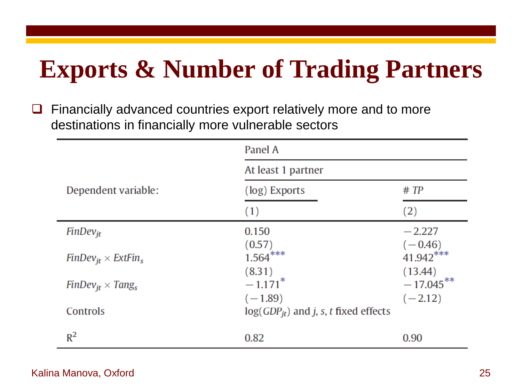# **Exports & Number of Trading Partners**

 $\Box$  Financially advanced countries export relatively more and to more destinations in financially more vulnerable sectors

|                               | Panel A                                   |                                   |  |  |  |
|-------------------------------|-------------------------------------------|-----------------------------------|--|--|--|
|                               | At least 1 partner                        |                                   |  |  |  |
| Dependent variable:           | (log) Exports                             | # TP                              |  |  |  |
|                               | (1)                                       | (2)                               |  |  |  |
| $FinDev_{it}$                 | 0.150                                     | $-2.227$                          |  |  |  |
| $FinDev_{it} \times ExtFin_s$ | (0.57)<br>$1.564***$<br>(8.31)            | $(-0.46)$<br>41.942***<br>(13.44) |  |  |  |
| $FinDev_{it} \times Tang_{s}$ | $-1.171$ <sup>*</sup><br>$(-1.89)$        | $-17.045***$<br>$(-2.12)$         |  |  |  |
| Controls                      | $log(GDP_{it})$ and j, s, t fixed effects |                                   |  |  |  |
| $R^2$                         | 0.82                                      | 0.90                              |  |  |  |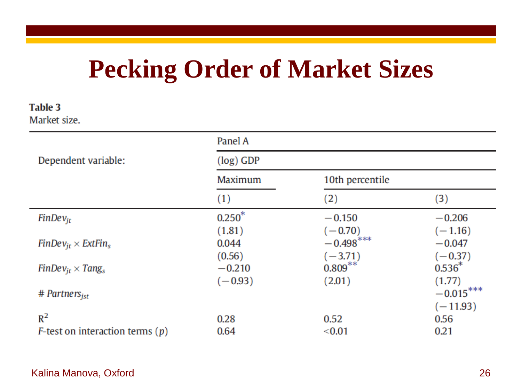# **Pecking Order of Market Sizes**

#### **Table 3** Market size.

|                                           | Panel A     |                 |             |
|-------------------------------------------|-------------|-----------------|-------------|
| Dependent variable:                       | $(log)$ GDP |                 |             |
|                                           | Maximum     | 10th percentile |             |
|                                           | (1)         | (2)             | (3)         |
| $FinDev_{it}$                             | $0.250*$    | $-0.150$        | $-0.206$    |
|                                           | (1.81)      | $(-0.70)$       | $(-1.16)$   |
| $FinDev_{it} \times ExtFin_s$             | 0.044       | $-0.498$ ***    | $-0.047$    |
|                                           | (0.56)      | $(-3.71)$       | $(-0.37)$   |
| $FinDev_{it} \times Tang_{s}$             | $-0.210$    | $0.809***$      | $0.536*$    |
|                                           | $(-0.93)$   | (2.01)          | (1.77)      |
| $#$ Partners <sub>ist</sub>               |             |                 | $-0.015***$ |
|                                           |             |                 | $(-11.93)$  |
| $R^2$                                     | 0.28        | 0.52            | 0.56        |
| <i>F</i> -test on interaction terms $(p)$ | 0.64        | < 0.01          | 0.21        |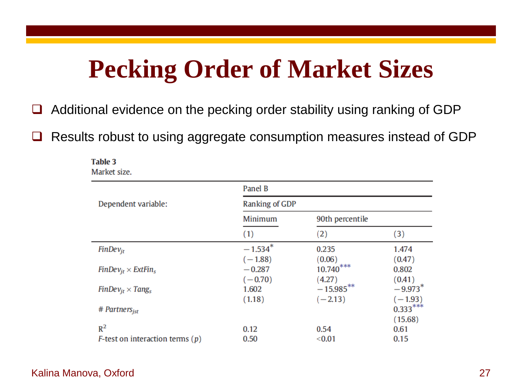# **Pecking Order of Market Sizes**

□ Additional evidence on the pecking order stability using ranking of GDP

**□** Results robust to using aggregate consumption measures instead of GDP

| Market size.                              |                           |                 |            |  |  |
|-------------------------------------------|---------------------------|-----------------|------------|--|--|
|                                           | Panel B<br>Ranking of GDP |                 |            |  |  |
| Dependent variable:                       |                           |                 |            |  |  |
|                                           | Minimum                   | 90th percentile |            |  |  |
|                                           | (1)                       | (2)             | (3)        |  |  |
| $FinDev_{it}$                             | $-1.534$ <sup>*</sup>     | 0.235           | 1.474      |  |  |
|                                           | $(-1.88)$                 | (0.06)          | (0.47)     |  |  |
| $FinDev_{it} \times ExtFin_s$             | $-0.287$                  | $10.740***$     | 0.802      |  |  |
|                                           | $(-0.70)$                 | (4.27)          | (0.41)     |  |  |
| $FinDev_{it} \times Tang_{s}$             | 1.602                     | $-15.985***$    | $-9.973*$  |  |  |
|                                           | (1.18)                    | $(-2.13)$       | $(-1.93)$  |  |  |
| $#$ Partners <sub>ist</sub>               |                           |                 | $0.333***$ |  |  |
|                                           |                           |                 | (15.68)    |  |  |
| $R^2$                                     | 0.12                      | 0.54            | 0.61       |  |  |
| <i>F</i> -test on interaction terms $(p)$ | 0.50                      | < 0.01          | 0.15       |  |  |

#### Kalina Manova, Oxford 27

Table 3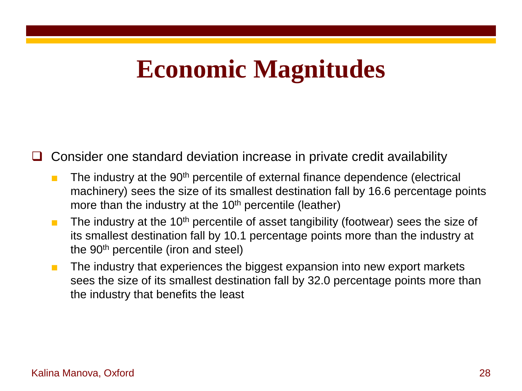# **Economic Magnitudes**

Consider one standard deviation increase in private credit availability

- The industry at the 90<sup>th</sup> percentile of external finance dependence (electrical machinery) sees the size of its smallest destination fall by 16.6 percentage points more than the industry at the  $10<sup>th</sup>$  percentile (leather)
- $\blacksquare$  The industry at the 10<sup>th</sup> percentile of asset tangibility (footwear) sees the size of its smallest destination fall by 10.1 percentage points more than the industry at the 90<sup>th</sup> percentile (iron and steel)
- The industry that experiences the biggest expansion into new export markets sees the size of its smallest destination fall by 32.0 percentage points more than the industry that benefits the least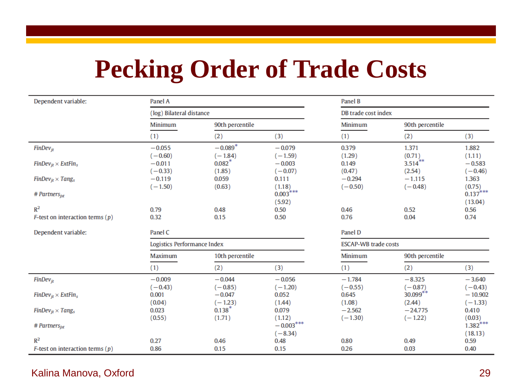# **Pecking Order of Trade Costs**

| Dependent variable:                       | Panel A                     |                      | Panel B            |                             |                        |                    |  |
|-------------------------------------------|-----------------------------|----------------------|--------------------|-----------------------------|------------------------|--------------------|--|
|                                           | (log) Bilateral distance    |                      |                    | DB trade cost index         |                        |                    |  |
|                                           | Minimum                     | 90th percentile      |                    | Minimum                     | 90th percentile        |                    |  |
|                                           | (1)                         | (2)                  | (3)                | (1)                         | (2)                    | (3)                |  |
| $FinDev_{it}$                             | $-0.055$                    | $-0.089*$            | $-0.079$           | 0.379                       | 1.371                  | 1.882              |  |
|                                           | $(-0.60)$                   | $(-1.84)$            | $(-1.59)$          | (1.29)                      | (0.71)                 | (1.11)             |  |
| $FinDev_{it} \times ExtFin_s$             | $-0.011$                    | $0.082$ <sup>*</sup> | $-0.003$           | 0.149                       | $3.514$ **             | $-0.583$           |  |
| $FinDev_{it} \times Tang_s$               | $(-0.33)$<br>$-0.119$       | (1.85)<br>0.059      | $(-0.07)$<br>0.111 | (0.47)<br>$-0.294$          | (2.54)<br>$-1.115$     | $(-0.46)$<br>1.363 |  |
|                                           | $(-1.50)$                   | (0.63)               | (1.18)             | $(-0.50)$                   | $(-0.48)$              | (0.75)             |  |
| # Partners $_{\text{ist}}$                |                             |                      | $0.003***$         |                             |                        | $0.137***$         |  |
|                                           |                             |                      | (5.92)             |                             |                        | (13.04)            |  |
| $R^2$                                     | 0.79                        | 0.48                 | 0.50               | 0.46                        | 0.52                   | 0.56               |  |
| <i>F</i> -test on interaction terms $(p)$ | 0.32                        | 0.15                 | 0.50               | 0.76                        | 0.04                   | 0.74               |  |
| Dependent variable:                       | Panel C                     |                      |                    | Panel D                     |                        |                    |  |
|                                           | Logistics Performance Index |                      |                    | <b>ESCAP-WB trade costs</b> |                        |                    |  |
|                                           | Maximum                     | 10th percentile      |                    | Minimum                     | 90th percentile        |                    |  |
|                                           | (1)                         | (2)                  | (3)                | (1)                         | (2)                    | (3)                |  |
| $FinDev_{it}$                             | $-0.009$                    | $-0.044$             | $-0.056$           | $-1.784$                    | $-8.325$               | $-3.640$           |  |
|                                           | $(-0.43)$                   | $(-0.85)$            | $(-1.20)$          | $(-0.55)$                   | $(-0.87)$              | $(-0.43)$          |  |
| $FinDev_{it} \times ExtFin_s$             | 0.001                       | $-0.047$             | 0.052              | 0.645                       | $30.099**$             | $-10.902$          |  |
|                                           | (0.04)                      | $(-1.23)$            | (1.44)             | (1.08)                      | (2.44)                 | $(-1.33)$          |  |
| $FinDev_{it} \times Tang_s$               | 0.023<br>(0.55)             | $0.138*$<br>(1.71)   | 0.079<br>(1.12)    | $-2.562$<br>$(-1.30)$       | $-24.775$<br>$(-1.22)$ | 0.410<br>(0.03)    |  |
| $#$ Partners <sub>ist</sub>               |                             |                      | $-0.003***$        |                             |                        | $1.382$ ***        |  |
|                                           |                             |                      | $(-8.34)$          |                             |                        | (18.13)            |  |
| $R^2$                                     | 0.27                        | 0.46                 | 0.48               | 0.80                        | 0.49                   | 0.59               |  |
| <i>F</i> -test on interaction terms $(p)$ | 0.86                        | 0.15                 | 0.15               | 0.26                        | 0.03                   | 0.40               |  |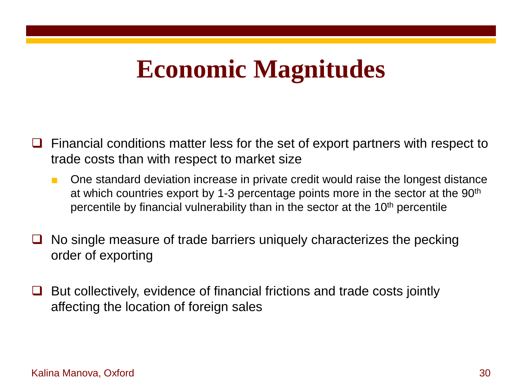# **Economic Magnitudes**

- $\Box$  Financial conditions matter less for the set of export partners with respect to trade costs than with respect to market size
	- One standard deviation increase in private credit would raise the longest distance at which countries export by 1-3 percentage points more in the sector at the 90th percentile by financial vulnerability than in the sector at the 10<sup>th</sup> percentile
- No single measure of trade barriers uniquely characterizes the pecking order of exporting
- $\Box$  But collectively, evidence of financial frictions and trade costs jointly affecting the location of foreign sales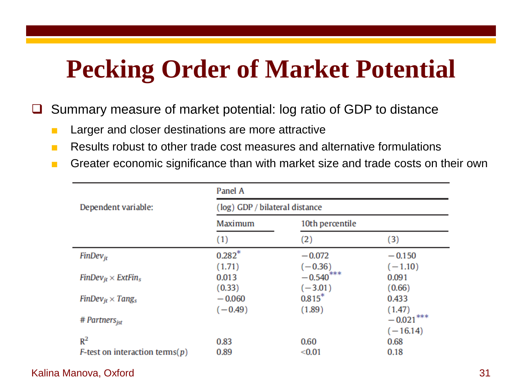# **Pecking Order of Market Potential**

□ Summary measure of market potential: log ratio of GDP to distance

- Larger and closer destinations are more attractive
- Results robust to other trade cost measures and alternative formulations
- Greater economic significance than with market size and trade costs on their own

|                                                     | Panel A<br>(log) GDP / bilateral distance |                                        |                              |  |  |
|-----------------------------------------------------|-------------------------------------------|----------------------------------------|------------------------------|--|--|
| Dependent variable:                                 |                                           |                                        |                              |  |  |
|                                                     | Maximum                                   | 10th percentile                        |                              |  |  |
|                                                     | (1)                                       | (2)                                    | (3)                          |  |  |
| $FinDev_{it}$                                       | $0.282*$                                  | $-0.072$                               | $-0.150$                     |  |  |
| $FinDev_{it} \times ExtFin_s$                       | (1.71)<br>0.013<br>(0.33)                 | $(-0.36)$<br>$-0.540$ ***<br>$(-3.01)$ | $(-1.10)$<br>0.091<br>(0.66) |  |  |
| $FinDev_{it} \times Tang_s$                         | $-0.060$<br>$(-0.49)$                     | $0.815*$<br>(1.89)                     | 0.433<br>(1.47)              |  |  |
| # Partners $_{\text{ist}}$                          |                                           |                                        | $-0.021***$<br>$(-16.14)$    |  |  |
| $R^2$<br><i>F</i> -test on interaction terms( $p$ ) | 0.83<br>0.89                              | 0.60<br>< 0.01                         | 0.68<br>0.18                 |  |  |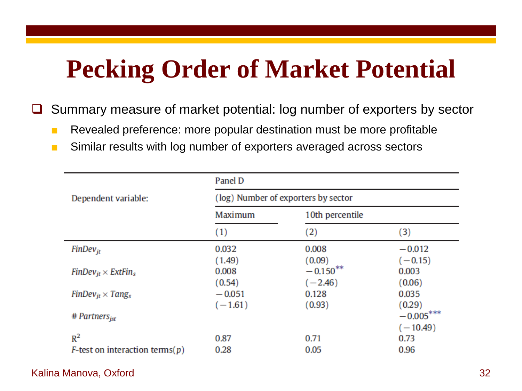# **Pecking Order of Market Potential**

■ Summary measure of market potential: log number of exporters by sector

- Revealed preference: more popular destination must be more profitable
- Similar results with log number of exporters averaged across sectors

|                                                     | Panel D                             |                                    |                              |  |  |
|-----------------------------------------------------|-------------------------------------|------------------------------------|------------------------------|--|--|
| Dependent variable:                                 | (log) Number of exporters by sector |                                    |                              |  |  |
|                                                     | Maximum                             | 10th percentile                    |                              |  |  |
|                                                     | $\left(1\right)$                    | (2)                                | $\left( 3\right)$            |  |  |
| $FinDev_{it}$                                       | 0.032<br>(1.49)                     | 0.008                              | $-0.012$                     |  |  |
| $FinDev_{it} \times ExtFin_s$                       | 0.008<br>(0.54)                     | (0.09)<br>$-0.150***$<br>$(-2.46)$ | $(-0.15)$<br>0.003<br>(0.06) |  |  |
| $FinDev_{it} \times Tang_s$                         | $-0.051$<br>$(-1.61)$               | 0.128<br>(0.93)                    | 0.035<br>(0.29)              |  |  |
| # Partners $_{\text{ist}}$                          |                                     |                                    | $-0.005***$<br>$(-10.49)$    |  |  |
| $R^2$<br><i>F</i> -test on interaction terms( $p$ ) | 0.87<br>0.28                        | 0.71<br>0.05                       | 0.73<br>0.96                 |  |  |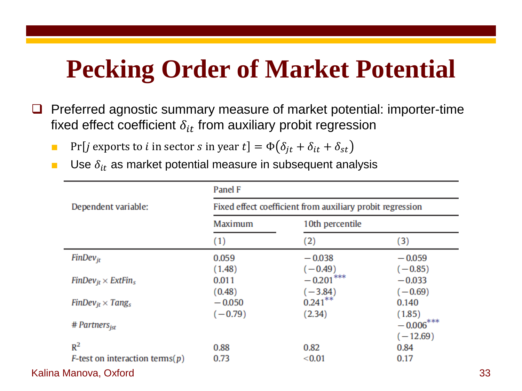# **Pecking Order of Market Potential**

- $\Box$  Preferred agnostic summary measure of market potential: importer-time fixed effect coefficient  $\delta_{it}$  from auxiliary probit regression
	- **•** Pr[*j* exports to *i* in sector *s* in year  $t$ ] =  $\Phi(\delta_{it} + \delta_{it} + \delta_{st})$
	- **Use**  $\delta_{it}$  **as market potential measure in subsequent analysis**

| Dependent variable:                        | Panel F<br>Fixed effect coefficient from auxiliary probit regression |                           |                           |                       |
|--------------------------------------------|----------------------------------------------------------------------|---------------------------|---------------------------|-----------------------|
|                                            |                                                                      |                           |                           |                       |
|                                            | (1)                                                                  | $\left( 2\right)$         | (3)                       |                       |
|                                            | $FinDev_{it}$                                                        | 0.059<br>(1.48)           | $-0.038$<br>$(-0.49)$     | $-0.059$<br>$(-0.85)$ |
| $FinDev_{it} \times ExtFin_s$              | 0.011<br>(0.48)                                                      | $-0.201$ ***<br>$(-3.84)$ | $-0.033$<br>$(-0.69)$     |                       |
| $FinDev_{it} \times Tang_s$                | $-0.050$<br>$(-0.79)$                                                | $0.241***$<br>(2.34)      | 0.140<br>(1.85)           |                       |
| # Partners $_{\text{ist}}$                 |                                                                      |                           | $-0.006***$<br>$(-12.69)$ |                       |
| $R^2$                                      | 0.88                                                                 | 0.82                      | 0.84                      |                       |
| <i>F</i> -test on interaction terms( $p$ ) | 0.73                                                                 | < 0.01                    | 0.17                      |                       |
| Kalina Manova, Oxford                      |                                                                      |                           |                           | 33                    |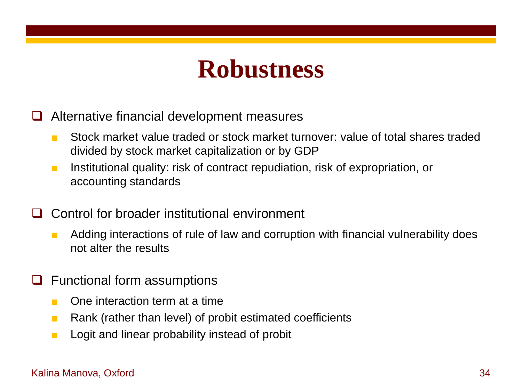## **Robustness**

- Alternative financial development measures
	- Stock market value traded or stock market turnover: value of total shares traded divided by stock market capitalization or by GDP
	- Institutional quality: risk of contract repudiation, risk of expropriation, or accounting standards
- Control for broader institutional environment
	- Adding interactions of rule of law and corruption with financial vulnerability does not alter the results
- $\Box$  Functional form assumptions
	- One interaction term at a time
	- Rank (rather than level) of probit estimated coefficients
	- Logit and linear probability instead of probit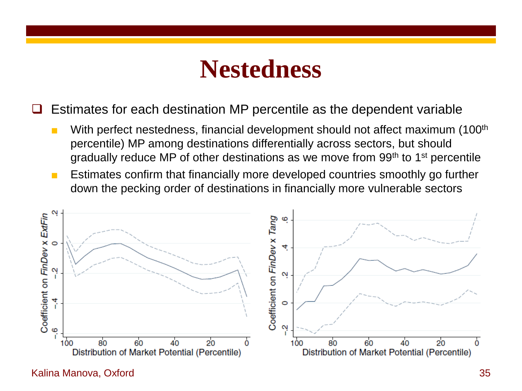## **Nestedness**

Estimates for each destination MP percentile as the dependent variable

- With perfect nestedness, financial development should not affect maximum (100<sup>th</sup> percentile) MP among destinations differentially across sectors, but should gradually reduce MP of other destinations as we move from 99<sup>th</sup> to 1<sup>st</sup> percentile
- Estimates confirm that financially more developed countries smoothly go further down the pecking order of destinations in financially more vulnerable sectors